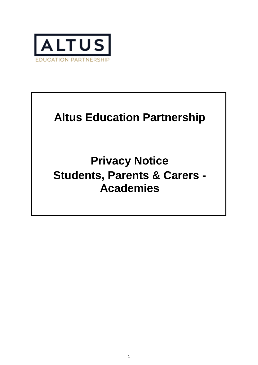

# **Altus Education Partnership**

**Privacy Notice Students, Parents & Carers - Academies**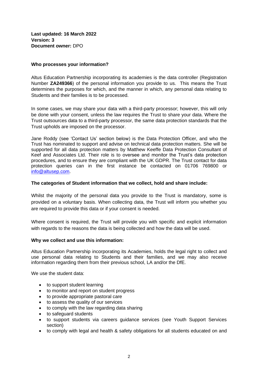**Last updated: 16 March 2022 Version: 3 Document owner:** DPO

# **Who processes your information?**

Altus Education Partnership incorporating its academies is the data controller (Registration Number **ZA249366**) of the personal information you provide to us. This means the Trust determines the purposes for which, and the manner in which, any personal data relating to Students and their families is to be processed.

In some cases, we may share your data with a third-party processor; however, this will only be done with your consent, unless the law requires the Trust to share your data. Where the Trust outsources data to a third-party processor, the same data protection standards that the Trust upholds are imposed on the processor.

Jane Roddy (see 'Contact Us' section below) is the Data Protection Officer, and who the Trust has nominated to support and advise on technical data protection matters. She will be supported for all data protection matters by Matthew Keeffe Data Protection Consultant of Keef and Associates Ltd. Their role is to oversee and monitor the Trust's data protection procedures, and to ensure they are compliant with the UK GDPR. The Trust contact for data protection queries can in the first instance be contacted on 01706 769800 or [info@altusep.com.](mailto:info@altusep.com)

## **The categories of Student information that we collect, hold and share include:**

Whilst the majority of the personal data you provide to the Trust is mandatory, some is provided on a voluntary basis. When collecting data, the Trust will inform you whether you are required to provide this data or if your consent is needed.

Where consent is required, the Trust will provide you with specific and explicit information with regards to the reasons the data is being collected and how the data will be used.

## **Why we collect and use this information:**

Altus Education Partnership incorporating its Academies, holds the legal right to collect and use personal data relating to Students and their families, and we may also receive information regarding them from their previous school, LA and/or the DfE.

We use the student data:

- to support student learning
- to monitor and report on student progress
- to provide appropriate pastoral care
- to assess the quality of our services
- to comply with the law regarding data sharing
- to safeguard students
- to support students via careers guidance services (see Youth Support Services section)
- to comply with legal and health & safety obligations for all students educated on and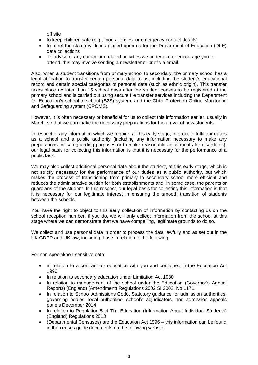off site

- to keep children safe (e.g., food allergies, or emergency contact details)
- to meet the statutory duties placed upon us for the Department of Education (DFE) data collections
- To advise of any curriculum related activities we undertake or encourage you to attend, this may involve sending a newsletter or brief via email.

Also, when a student transitions from primary school to secondary, the primary school has a legal obligation to transfer certain personal data to us, including the student's educational record and certain special categories of personal data (such as ethnic origin). This transfer takes place no later than 15 school days after the student ceases to be registered at the primary school and is carried out using secure file transfer services including the Department for Education's school-to-school (S2S) system, and the Child Protection Online Monitoring and Safeguarding system (CPOMS).

However, it is often necessary or beneficial for us to collect this information earlier, usually in March, so that we can make the necessary preparations for the arrival of new students.

In respect of any information which we require, at this early stage, in order to fulfil our duties as a school and a public authority (including any information necessary to make any preparations for safeguarding purposes or to make reasonable adjustments for disabilities), our legal basis for collecting this information is that it is necessary for the performance of a public task.

We may also collect additional personal data about the student, at this early stage, which is not strictly necessary for the performance of our duties as a public authority, but which makes the process of transitioning from primary to secondary school more efficient and reduces the administrative burden for both establishments and, in some case, the parents or guardians of the student. In this respect, our legal basis for collecting this information is that it is necessary for our legitimate interest in ensuring the smooth transition of students between the schools.

You have the right to object to this early collection of information by contacting us on the school reception number, if you do, we will only collect information from the school at this stage where we can demonstrate that we have compelling, legitimate grounds to do so.

We collect and use personal data in order to process the data lawfully and as set out in the UK GDPR and UK law, including those in relation to the following:

For non-special/non-sensitive data:

- in relation to a contract for education with you and contained in the Education Act 1996.
- In relation to secondary education under Limitation Act 1980
- In relation to management of the school under the Education (Governor's Annual Reports) (England) (Amendment) Regulations 2002 SI 2002, No 1171.
- In relation to School Admissions Code, Statutory guidance for admission authorities, governing bodies, local authorities, school's adjudicators, and admission appeals panels December 2014
- In relation to Regulation 5 of The Education (Information About Individual Students) (England) Regulations 2013
- (Departmental Censuses) are the Education Act 1996 this information can be found in the census guide documents on the following website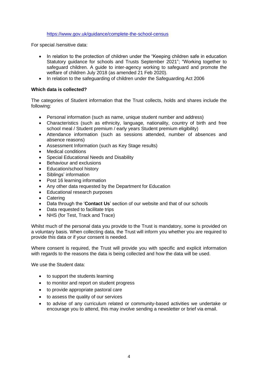## <https://www.gov.uk/guidance/complete-the-school-census>

For special /sensitive data:

- In relation to the protection of children under the "Keeping children safe in education Statutory guidance for schools and Trusts September 2021"; "Working together to safeguard children. A guide to inter-agency working to safeguard and promote the welfare of children July 2018 (as amended 21 Feb 2020).
- In relation to the safeguarding of children under the Safeguarding Act 2006

# **Which data is collected?**

The categories of Student information that the Trust collects, holds and shares include the following:

- Personal information (such as name, unique student number and address)
- Characteristics (such as ethnicity, language, nationality, country of birth and free school meal / Student premium / early years Student premium eligibility)
- Attendance information (such as sessions attended, number of absences and absence reasons)
- Assessment Information (such as Key Stage results)
- Medical conditions
- Special Educational Needs and Disability
- Behaviour and exclusions
- Education/school history
- Siblings' information
- Post 16 learning information
- Any other data requested by the Department for Education
- Educational research purposes
- Catering
- Data through the '**Contact Us**' section of our website and that of our schools
- Data requested to facilitate trips
- NHS (for Test, Track and Trace)

Whilst much of the personal data you provide to the Trust is mandatory, some is provided on a voluntary basis. When collecting data, the Trust will inform you whether you are required to provide this data or if your consent is needed.

Where consent is required, the Trust will provide you with specific and explicit information with regards to the reasons the data is being collected and how the data will be used.

We use the Student data:

- to support the students learning
- to monitor and report on student progress
- to provide appropriate pastoral care
- to assess the quality of our services
- to advise of any curriculum related or community-based activities we undertake or encourage you to attend, this may involve sending a newsletter or brief via email.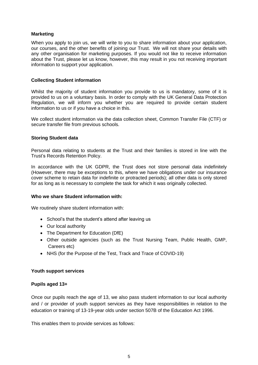# **Marketing**

When you apply to join us, we will write to you to share information about your application, our courses, and the other benefits of joining our Trust. We will not share your details with any other organisation for marketing purposes. If you would not like to receive information about the Trust, please let us know, however, this may result in you not receiving important information to support your application.

## **Collecting Student information**

Whilst the majority of student information you provide to us is mandatory, some of it is provided to us on a voluntary basis. In order to comply with the UK General Data Protection Regulation, we will inform you whether you are required to provide certain student information to us or if you have a choice in this.

We collect student information via the data collection sheet, Common Transfer File (CTF) or secure transfer file from previous schools.

## **Storing Student data**

Personal data relating to students at the Trust and their families is stored in line with the Trust's Records Retention Policy.

In accordance with the UK GDPR, the Trust does not store personal data indefinitely (However, there may be exceptions to this, where we have obligations under our insurance cover scheme to retain data for indefinite or protracted periods); all other data is only stored for as long as is necessary to complete the task for which it was originally collected.

## **Who we share Student information with:**

We routinely share student information with:

- School's that the student's attend after leaving us
- Our local authority
- The Department for Education (DfE)
- Other outside agencies (such as the Trust Nursing Team, Public Health, GMP, Careers etc)
- NHS (for the Purpose of the Test, Track and Trace of COVID-19)

# **Youth support services**

# **Pupils aged 13+**

Once our pupils reach the age of 13, we also pass student information to our local authority and / or provider of youth support services as they have responsibilities in relation to the education or training of 13-19-year olds under section 507B of the Education Act 1996.

This enables them to provide services as follows: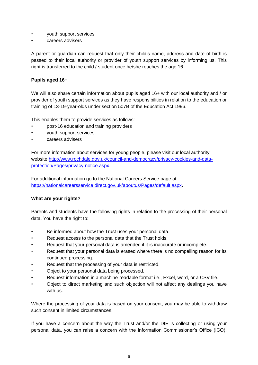- youth support services
- careers advisers

A parent or guardian can request that only their child's name, address and date of birth is passed to their local authority or provider of youth support services by informing us. This right is transferred to the child / student once he/she reaches the age 16.

# **Pupils aged 16+**

We will also share certain information about pupils aged 16+ with our local authority and / or provider of youth support services as they have responsibilities in relation to the education or training of 13-19-year-olds under section 507B of the Education Act 1996.

This enables them to provide services as follows:

- post-16 education and training providers
- youth support services
- careers advisers

For more information about services for young people, please visit our local authority website [http://www.rochdale.gov.uk/council-and-democracy/privacy-cookies-and-data](http://www.rochdale.gov.uk/council-and-democracy/privacy-cookies-and-data-protection/Pages/privacy-notice.aspx)[protection/Pages/privacy-notice.aspx.](http://www.rochdale.gov.uk/council-and-democracy/privacy-cookies-and-data-protection/Pages/privacy-notice.aspx)

For additional information go to the National Careers Service page at: [https://nationalcareersservice.direct.gov.uk/aboutus/Pages/default.aspx.](https://nationalcareersservice.direct.gov.uk/aboutus/Pages/default.aspx)

# **What are your rights?**

Parents and students have the following rights in relation to the processing of their personal data. You have the right to:

- Be informed about how the Trust uses your personal data.
- Request access to the personal data that the Trust holds.
- Request that your personal data is amended if it is inaccurate or incomplete.
- Request that your personal data is erased where there is no compelling reason for its continued processing.
- Request that the processing of your data is restricted.
- Object to your personal data being processed.
- Request information in a machine-readable format i.e., Excel, word, or a CSV file.
- Object to direct marketing and such objection will not affect any dealings you have with us.

Where the processing of your data is based on your consent, you may be able to withdraw such consent in limited circumstances.

If you have a concern about the way the Trust and/or the DfE is collecting or using your personal data, you can raise a concern with the Information Commissioner's Office (ICO).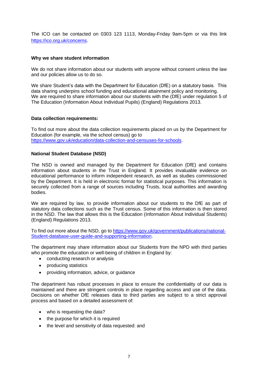The ICO can be contacted on 0303 123 1113, Monday-Friday 9am-5pm or via this link [https://ico.org.uk/concerns.](https://ico.org.uk/concerns)

## **Why we share student information**

We do not share information about our students with anyone without consent unless the law and our policies allow us to do so.

We share Student's data with the Department for Education (DfE) on a statutory basis. This data sharing underpins school funding and educational attainment policy and monitoring. We are required to share information about our students with the (DfE) under regulation 5 of The Education (Information About Individual Pupils) (England) Regulations 2013.

## **Data collection requirements:**

To find out more about the data collection requirements placed on us by the Department for Education (for example, via the school census) go to [https://www.gov.uk/education/data-collection-and-censuses-for-schools.](https://www.gov.uk/education/data-collection-and-censuses-for-schools)

# **National Student Database (NSD)**

The NSD is owned and managed by the Department for Education (DfE) and contains information about students in the Trust in England. It provides invaluable evidence on educational performance to inform independent research, as well as studies commissioned by the Department. It is held in electronic format for statistical purposes. This information is securely collected from a range of sources including Trusts, local authorities and awarding bodies.

We are required by law, to provide information about our students to the DfE as part of statutory data collections such as the Trust census. Some of this information is then stored in the NSD. The law that allows this is the Education (Information About Individual Students) (England) Regulations 2013.

To find out more about the NSD, go to [https://www.gov.uk/government/publications/national-](https://www.gov.uk/government/publications/national-pupil-database-user-guide-and-supporting-information)[Student-database-user-guide-and-supporting-information.](https://www.gov.uk/government/publications/national-pupil-database-user-guide-and-supporting-information)

The department may share information about our Students from the NPD with third parties who promote the education or well-being of children in England by:

- conducting research or analysis
- producing statistics
- providing information, advice, or guidance

The department has robust processes in place to ensure the confidentiality of our data is maintained and there are stringent controls in place regarding access and use of the data. Decisions on whether DfE releases data to third parties are subject to a strict approval process and based on a detailed assessment of:

- who is requesting the data?
- the purpose for which it is required
- the level and sensitivity of data requested: and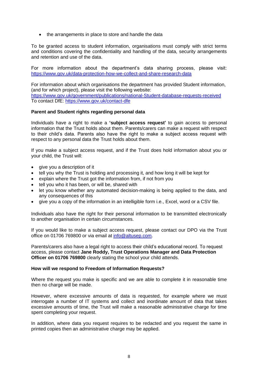• the arrangements in place to store and handle the data

To be granted access to student information, organisations must comply with strict terms and conditions covering the confidentiality and handling of the data, security arrangements and retention and use of the data.

For more information about the department's data sharing process, please visit: <https://www.gov.uk/data-protection-how-we-collect-and-share-research-data>

For information about which organisations the department has provided Student information, (and for which project), please visit the following website: [https://www.gov.uk/government/publications/national-Student-database-requests-received](https://www.gov.uk/government/publications/national-pupil-database-requests-received) To contact DfE:<https://www.gov.uk/contact-dfe>

## **Parent and Student rights regarding personal data**

Individuals have a right to make a **'subject access request'** to gain access to personal information that the Trust holds about them. Parents/carers can make a request with respect to their child's data. Parents also have the right to make a subject access request with respect to any personal data the Trust holds about them.

If you make a subject access request, and if the Trust does hold information about you or your child, the Trust will:

- give you a description of it
- tell you why the Trust is holding and processing it, and how long it will be kept for
- explain where the Trust got the information from, if not from you
- tell you who it has been, or will be, shared with
- let you know whether any automated decision-making is being applied to the data, and any consequences of this
- give you a copy of the information in an intelligible form i.e., Excel, word or a CSV file.

Individuals also have the right for their personal information to be transmitted electronically to another organisation in certain circumstances.

If you would like to make a subject access request, please contact our DPO via the Trust office on 01706 769800 or via email at [info@altusep.com.](mailto:info@altusep.com)

Parents/carers also have a legal right to access their child's educational record. To request access, please contact **Jane Roddy, Trust Operations Manager and Data Protection Officer on 01706 769800** clearly stating the school your child attends.

## **How will we respond to Freedom of Information Requests?**

Where the request you make is specific and we are able to complete it in reasonable time then no charge will be made.

However, where excessive amounts of data is requested, for example where we must interrogate a number of IT systems and collect and inordinate amount of data that takes excessive amounts of time, the Trust will make a reasonable administrative charge for time spent completing your request.

In addition, where data you request requires to be redacted and you request the same in printed copies then an administrative charge may be applied.